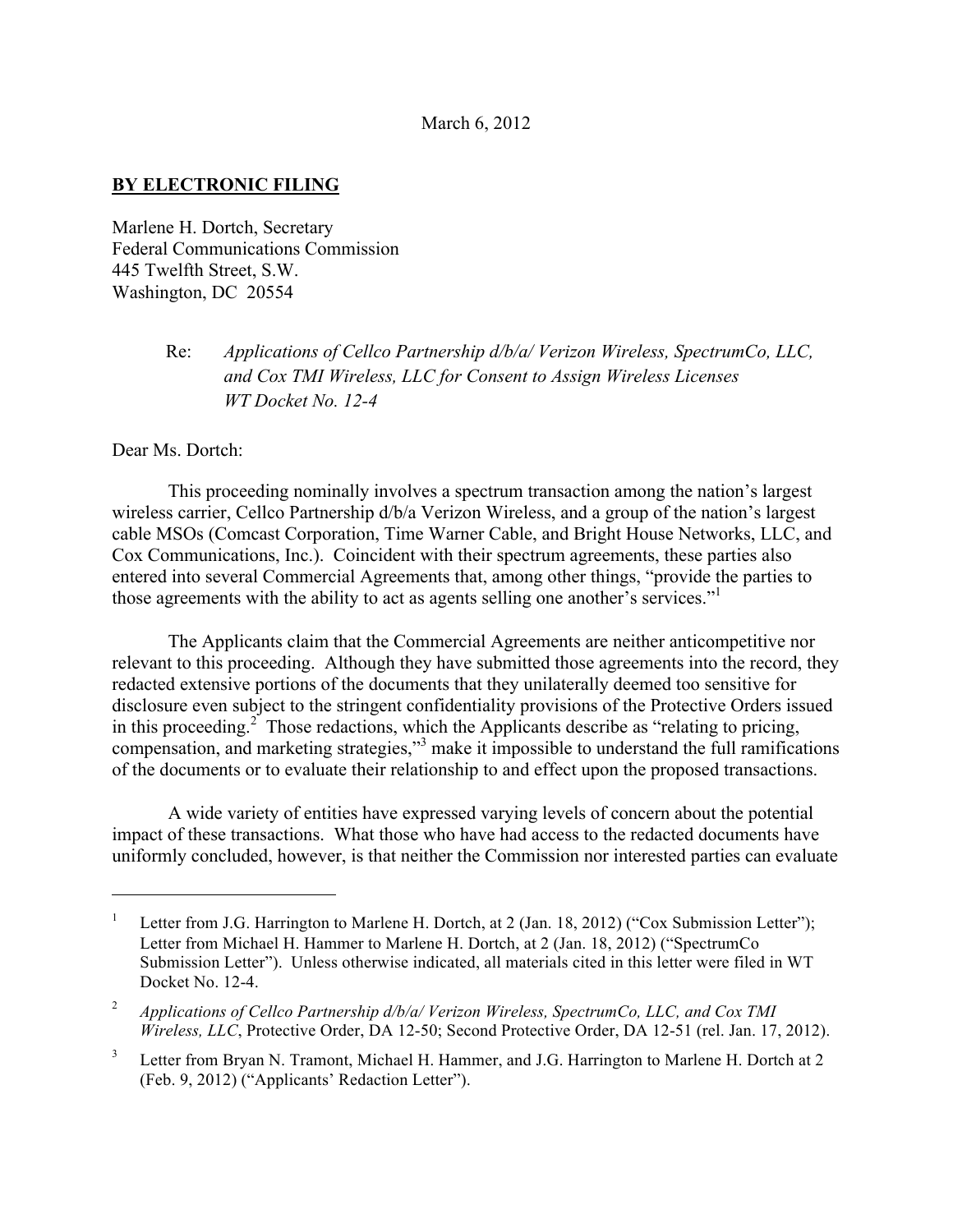## March 6, 2012

## **BY ELECTRONIC FILING**

Marlene H. Dortch, Secretary Federal Communications Commission 445 Twelfth Street, S.W. Washington, DC 20554

## Re: *Applications of Cellco Partnership d/b/a/ Verizon Wireless, SpectrumCo, LLC, and Cox TMI Wireless, LLC for Consent to Assign Wireless Licenses WT Docket No. 12-4*

Dear Ms. Dortch:

 $\overline{a}$ 

This proceeding nominally involves a spectrum transaction among the nation's largest wireless carrier, Cellco Partnership d/b/a Verizon Wireless, and a group of the nation's largest cable MSOs (Comcast Corporation, Time Warner Cable, and Bright House Networks, LLC, and Cox Communications, Inc.). Coincident with their spectrum agreements, these parties also entered into several Commercial Agreements that, among other things, "provide the parties to those agreements with the ability to act as agents selling one another's services." 1

The Applicants claim that the Commercial Agreements are neither anticompetitive nor relevant to this proceeding. Although they have submitted those agreements into the record, they redacted extensive portions of the documents that they unilaterally deemed too sensitive for disclosure even subject to the stringent confidentiality provisions of the Protective Orders issued in this proceeding.<sup>2</sup> Those redactions, which the Applicants describe as "relating to pricing, compensation, and marketing strategies,"3 make it impossible to understand the full ramifications of the documents or to evaluate their relationship to and effect upon the proposed transactions.

A wide variety of entities have expressed varying levels of concern about the potential impact of these transactions. What those who have had access to the redacted documents have uniformly concluded, however, is that neither the Commission nor interested parties can evaluate

Letter from J.G. Harrington to Marlene H. Dortch, at 2 (Jan. 18, 2012) ("Cox Submission Letter"); Letter from Michael H. Hammer to Marlene H. Dortch, at 2 (Jan. 18, 2012) ("SpectrumCo Submission Letter"). Unless otherwise indicated, all materials cited in this letter were filed in WT Docket No. 12-4.

<sup>2</sup> *Applications of Cellco Partnership d/b/a/ Verizon Wireless, SpectrumCo, LLC, and Cox TMI Wireless, LLC*, Protective Order, DA 12-50; Second Protective Order, DA 12-51 (rel. Jan. 17, 2012).

<sup>&</sup>lt;sup>3</sup> Letter from Bryan N. Tramont, Michael H. Hammer, and J.G. Harrington to Marlene H. Dortch at 2 (Feb. 9, 2012) ("Applicants' Redaction Letter").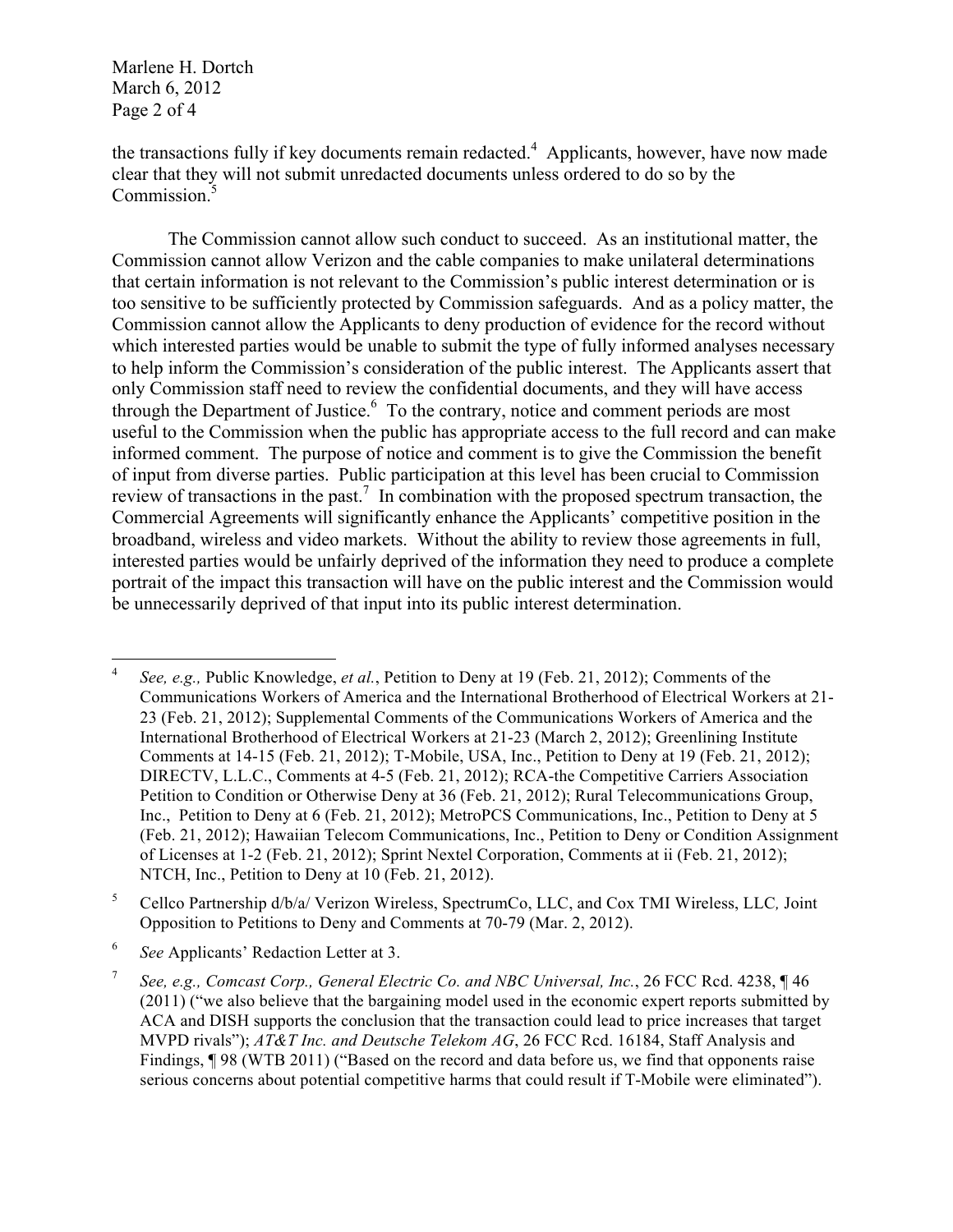Marlene H. Dortch March 6, 2012 Page 2 of 4

the transactions fully if key documents remain redacted.<sup>4</sup> Applicants, however, have now made clear that they will not submit unredacted documents unless ordered to do so by the Commission.<sup>5</sup>

The Commission cannot allow such conduct to succeed. As an institutional matter, the Commission cannot allow Verizon and the cable companies to make unilateral determinations that certain information is not relevant to the Commission's public interest determination or is too sensitive to be sufficiently protected by Commission safeguards. And as a policy matter, the Commission cannot allow the Applicants to deny production of evidence for the record without which interested parties would be unable to submit the type of fully informed analyses necessary to help inform the Commission's consideration of the public interest. The Applicants assert that only Commission staff need to review the confidential documents, and they will have access through the Department of Justice.<sup>6</sup> To the contrary, notice and comment periods are most useful to the Commission when the public has appropriate access to the full record and can make informed comment. The purpose of notice and comment is to give the Commission the benefit of input from diverse parties. Public participation at this level has been crucial to Commission review of transactions in the past.<sup>7</sup> In combination with the proposed spectrum transaction, the Commercial Agreements will significantly enhance the Applicants' competitive position in the broadband, wireless and video markets. Without the ability to review those agreements in full, interested parties would be unfairly deprived of the information they need to produce a complete portrait of the impact this transaction will have on the public interest and the Commission would be unnecessarily deprived of that input into its public interest determination.

 <sup>4</sup> *See, e.g.,* Public Knowledge, *et al.*, Petition to Deny at 19 (Feb. 21, 2012); Comments of the Communications Workers of America and the International Brotherhood of Electrical Workers at 21- 23 (Feb. 21, 2012); Supplemental Comments of the Communications Workers of America and the International Brotherhood of Electrical Workers at 21-23 (March 2, 2012); Greenlining Institute Comments at 14-15 (Feb. 21, 2012); T-Mobile, USA, Inc., Petition to Deny at 19 (Feb. 21, 2012); DIRECTV, L.L.C., Comments at 4-5 (Feb. 21, 2012); RCA-the Competitive Carriers Association Petition to Condition or Otherwise Deny at 36 (Feb. 21, 2012); Rural Telecommunications Group, Inc., Petition to Deny at 6 (Feb. 21, 2012); MetroPCS Communications, Inc., Petition to Deny at 5 (Feb. 21, 2012); Hawaiian Telecom Communications, Inc., Petition to Deny or Condition Assignment of Licenses at 1-2 (Feb. 21, 2012); Sprint Nextel Corporation, Comments at ii (Feb. 21, 2012); NTCH, Inc., Petition to Deny at 10 (Feb. 21, 2012).

<sup>5</sup> Cellco Partnership d/b/a/ Verizon Wireless, SpectrumCo, LLC, and Cox TMI Wireless, LLC*,* Joint Opposition to Petitions to Deny and Comments at 70-79 (Mar. 2, 2012).

<sup>6</sup> *See* Applicants' Redaction Letter at 3.

<sup>7</sup> *See, e.g., Comcast Corp., General Electric Co. and NBC Universal, Inc.*, 26 FCC Rcd. 4238, ¶ 46 (2011) ("we also believe that the bargaining model used in the economic expert reports submitted by ACA and DISH supports the conclusion that the transaction could lead to price increases that target MVPD rivals"); *AT&T Inc. and Deutsche Telekom AG*, 26 FCC Rcd. 16184, Staff Analysis and Findings, ¶98 (WTB 2011) ("Based on the record and data before us, we find that opponents raise serious concerns about potential competitive harms that could result if T-Mobile were eliminated").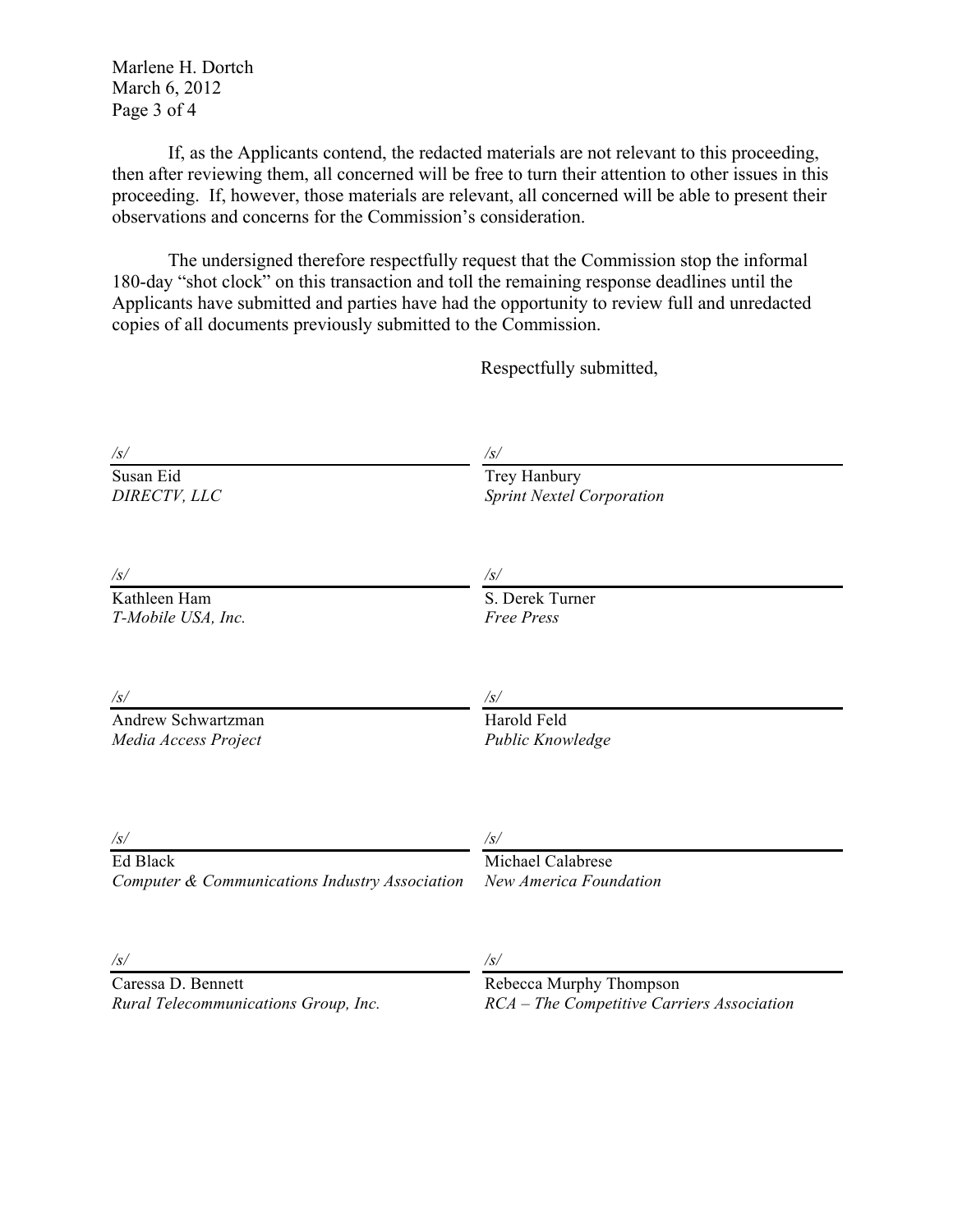Marlene H. Dortch March 6, 2012 Page 3 of 4

If, as the Applicants contend, the redacted materials are not relevant to this proceeding, then after reviewing them, all concerned will be free to turn their attention to other issues in this proceeding. If, however, those materials are relevant, all concerned will be able to present their observations and concerns for the Commission's consideration.

The undersigned therefore respectfully request that the Commission stop the informal 180-day "shot clock" on this transaction and toll the remaining response deadlines until the Applicants have submitted and parties have had the opportunity to review full and unredacted copies of all documents previously submitted to the Commission.

Respectfully submitted,

| $\sqrt{s/}$                                    | /s/                                              |
|------------------------------------------------|--------------------------------------------------|
| Susan Eid<br>DIRECTV, LLC                      | Trey Hanbury<br><b>Sprint Nextel Corporation</b> |
|                                                |                                                  |
| $/\mathfrak{s}/$                               | $\sqrt{s/}$                                      |
| Kathleen Ham<br>T-Mobile USA, Inc.             | S. Derek Turner<br><b>Free Press</b>             |
| $\sqrt{s/}$                                    | $\sqrt{s/}$                                      |
| Andrew Schwartzman<br>Media Access Project     | Harold Feld<br>Public Knowledge                  |
|                                                |                                                  |
| $\sqrt{s/}$<br>Ed Black                        | $\sqrt{s/}$<br>Michael Calabrese                 |
| Computer & Communications Industry Association | New America Foundation                           |
| $\sqrt{s/}$                                    | $\sqrt{s/}$                                      |
| Caressa D. Bennett                             | Rebecca Murphy Thompson                          |
| Rural Telecommunications Group, Inc.           | RCA - The Competitive Carriers Association       |